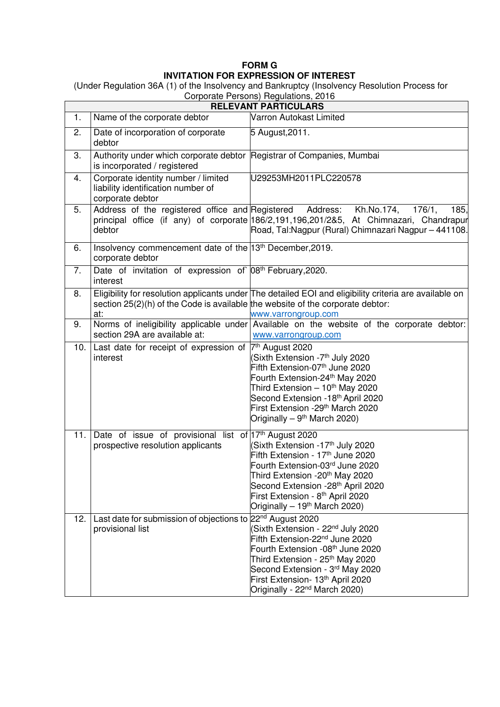## **FORM G INVITATION FOR EXPRESSION OF INTEREST**

(Under Regulation 36A (1) of the Insolvency and Bankruptcy (Insolvency Resolution Process for

|                             |                                                                                                       | Corporate Persons) Regulations, 2016                                                                                                                                                                                                                                                                                        |  |  |
|-----------------------------|-------------------------------------------------------------------------------------------------------|-----------------------------------------------------------------------------------------------------------------------------------------------------------------------------------------------------------------------------------------------------------------------------------------------------------------------------|--|--|
| <b>RELEVANT PARTICULARS</b> |                                                                                                       |                                                                                                                                                                                                                                                                                                                             |  |  |
| 1.                          | Name of the corporate debtor                                                                          | Varron Autokast Limited                                                                                                                                                                                                                                                                                                     |  |  |
| 2.                          | Date of incorporation of corporate<br>debtor                                                          | 5 August, 2011.                                                                                                                                                                                                                                                                                                             |  |  |
| 3.                          | Authority under which corporate debtor Registrar of Companies, Mumbai<br>is incorporated / registered |                                                                                                                                                                                                                                                                                                                             |  |  |
| 4.                          | Corporate identity number / limited<br>liability identification number of<br>corporate debtor         | U29253MH2011PLC220578                                                                                                                                                                                                                                                                                                       |  |  |
| 5.                          | Address of the registered office and Registered<br>debtor                                             | Address:<br>Kh.No.174,<br>176/1.<br>185,<br>principal office (if any) of corporate 186/2,191,196,201/285, At Chimnazari, Chandrapur<br>Road, Tal: Nagpur (Rural) Chimnazari Nagpur - 441108.                                                                                                                                |  |  |
| 6.                          | Insolvency commencement date of the 13th December, 2019.<br>corporate debtor                          |                                                                                                                                                                                                                                                                                                                             |  |  |
| 7.                          | Date of invitation of expression of 08 <sup>th</sup> February, 2020.<br>interest                      |                                                                                                                                                                                                                                                                                                                             |  |  |
| 8.                          | section $25(2)(h)$ of the Code is available the website of the corporate debtor:<br>at:               | Eligibility for resolution applicants under The detailed EOI and eligibility criteria are available on<br>www.varrongroup.com                                                                                                                                                                                               |  |  |
| 9.                          | section 29A are available at:                                                                         | Norms of ineligibility applicable under Available on the website of the corporate debtor:<br>www.varrongroup.com                                                                                                                                                                                                            |  |  |
| 10.                         | Last date for receipt of expression of  7th August 2020<br>interest                                   | Sixth Extension -7 <sup>th</sup> July 2020<br>Fifth Extension-07 <sup>th</sup> June 2020<br>Fourth Extension-24th May 2020<br>Third Extension - 10 <sup>th</sup> May 2020<br>Second Extension -18th April 2020<br>First Extension -29 <sup>th</sup> March 2020<br>Originally – $9th$ March 2020)                            |  |  |
|                             | 11. Date of issue of provisional list of $17th$ August 2020<br>prospective resolution applicants      | (Sixth Extension -17 <sup>th</sup> July 2020<br>Fifth Extension - 17 <sup>th</sup> June 2020<br>Fourth Extension-03rd June 2020<br>Third Extension -20 <sup>th</sup> May 2020<br>Second Extension -28 <sup>th</sup> April 2020<br>First Extension - 8 <sup>th</sup> April 2020<br>Originally – 19 <sup>th</sup> March 2020) |  |  |
| 12.                         | Last date for submission of objections to 22 <sup>nd</sup> August 2020<br>provisional list            | (Sixth Extension - 22 <sup>nd</sup> July 2020<br>Fifth Extension-22 <sup>nd</sup> June 2020<br>Fourth Extension -08th June 2020<br>Third Extension - 25 <sup>th</sup> May 2020<br>Second Extension - 3rd May 2020<br>First Extension- 13th April 2020<br>Originally - 22 <sup>nd</sup> March 2020)                          |  |  |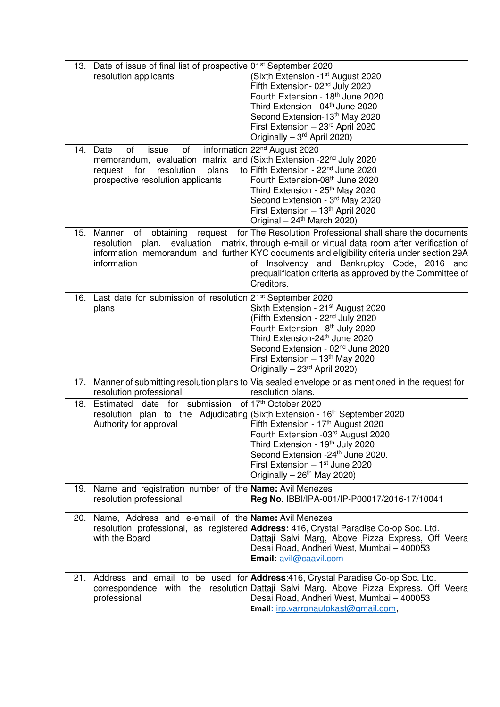| 13.                  | Date of issue of final list of prospective 01 <sup>st</sup> September 2020<br>resolution applicants                                                                                       | Sixth Extension -1st August 2020<br>Fifth Extension- 02 <sup>nd</sup> July 2020<br>Fourth Extension - 18 <sup>th</sup> June 2020<br>Third Extension - 04th June 2020<br>Second Extension-13th May 2020<br>First Extension - 23rd April 2020<br>Originally - 3 <sup>rd</sup> April 2020)                                                                                    |
|----------------------|-------------------------------------------------------------------------------------------------------------------------------------------------------------------------------------------|----------------------------------------------------------------------------------------------------------------------------------------------------------------------------------------------------------------------------------------------------------------------------------------------------------------------------------------------------------------------------|
| 14.                  | Date<br>0f<br>of<br>issue<br>memorandum, evaluation matrix and (Sixth Extension -22 <sup>nd</sup> July 2020<br>resolution<br>plans<br>request<br>for<br>prospective resolution applicants | information 22 <sup>nd</sup> August 2020<br>to Fifth Extension - 22 <sup>nd</sup> June 2020<br>Fourth Extension-08th June 2020<br>Third Extension - 25 <sup>th</sup> May 2020<br>Second Extension - 3rd May 2020<br>First Extension - 13th April 2020<br>Original - 24 <sup>th</sup> March 2020)                                                                           |
|                      | 15. Manner of obtaining<br>resolution<br>plan,<br>information                                                                                                                             | request for The Resolution Professional shall share the documents<br>evaluation matrix, through e-mail or virtual data room after verification of<br>information memorandum and further KYC documents and eligibility criteria under section 29A<br>of Insolvency and Bankruptcy Code, 2016 and<br>prequalification criteria as approved by the Committee of<br>Creditors. |
| 16.                  | Last date for submission of resolution 21 <sup>st</sup> September 2020<br>plans                                                                                                           | Sixth Extension - 21 <sup>st</sup> August 2020<br>(Fifth Extension - 22 <sup>nd</sup> July 2020<br>Fourth Extension - 8 <sup>th</sup> July 2020<br>Third Extension-24 <sup>th</sup> June 2020<br>Second Extension - 02 <sup>nd</sup> June 2020<br>First Extension - 13 <sup>th</sup> May 2020<br>Originally - 23 <sup>rd</sup> April 2020)                                 |
| 17.1                 |                                                                                                                                                                                           | Manner of submitting resolution plans to Via sealed envelope or as mentioned in the request for                                                                                                                                                                                                                                                                            |
| 18.                  | resolution professional<br>submission<br>Estimated date for<br>resolution plan to the Adjudicating (Sixth Extension - 16 <sup>th</sup> September 2020<br>Authority for approval           | resolution plans.<br>of 17th October 2020<br>Fifth Extension - 17 <sup>th</sup> August 2020<br>Fourth Extension -03rd August 2020<br>Third Extension - 19 <sup>th</sup> July 2020<br>Second Extension -24 <sup>th</sup> June 2020.<br>First Extension - 1 <sup>st</sup> June 2020<br>Originally $-26$ <sup>th</sup> May 2020)                                              |
| 19. I                | Name and registration number of the Name: Avil Menezes<br>resolution professional                                                                                                         | Reg No. IBBI/IPA-001/IP-P00017/2016-17/10041                                                                                                                                                                                                                                                                                                                               |
| 20.1                 | Name, Address and e-email of the <b>Name:</b> Avil Menezes<br>with the Board                                                                                                              | resolution professional, as registered <b>Address:</b> 416, Crystal Paradise Co-op Soc. Ltd.<br>Dattaji Salvi Marg, Above Pizza Express, Off Veera<br>Desai Road, Andheri West, Mumbai - 400053<br><b>Email:</b> avil@caavil.com                                                                                                                                           |
| $21.$ $\blacksquare$ | professional                                                                                                                                                                              | Address and email to be used for <b>Address</b> :416, Crystal Paradise Co-op Soc. Ltd.<br>correspondence with the resolution Dattaji Salvi Marg, Above Pizza Express, Off Veera<br>Desai Road, Andheri West, Mumbai - 400053<br>Email: irp.varronautokast@gmail.com,                                                                                                       |